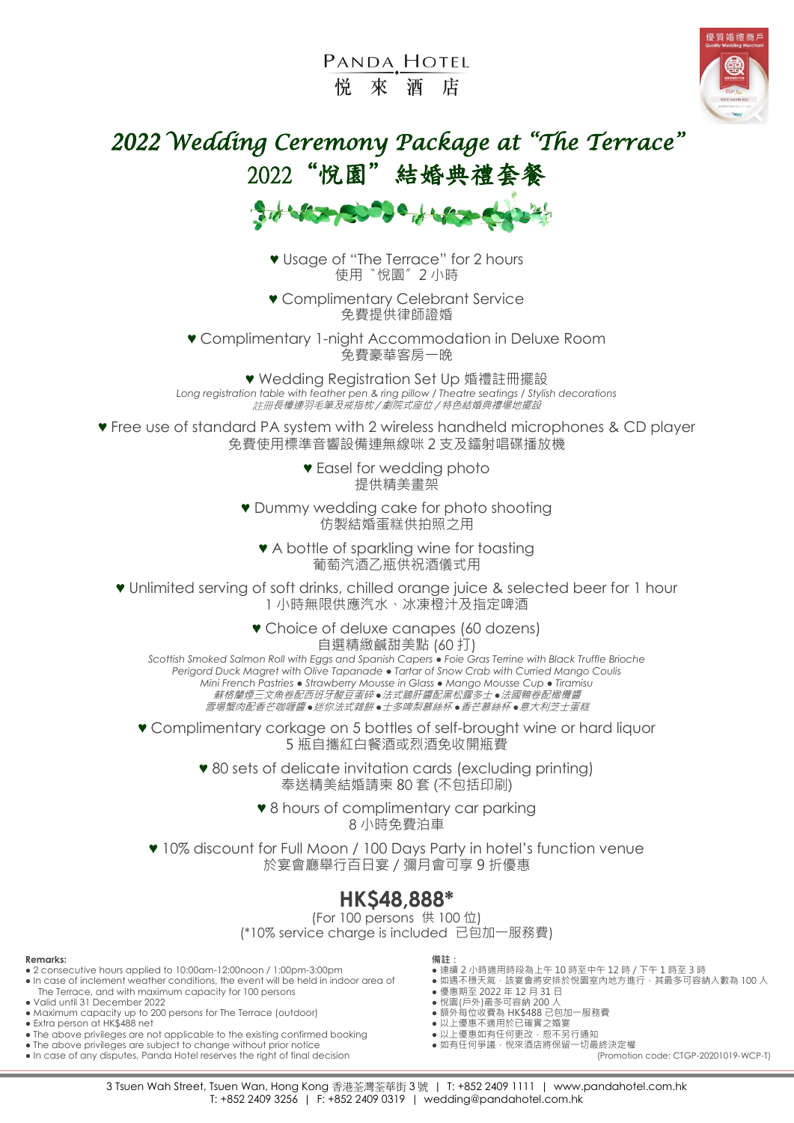PANDA HOTEL 悦 來 洒 店



# *2022 Wedding Ceremony Package at "The Terrace"*  2022"悅園"結婚典禮套餐



♥ Usage of "The Terrace" for 2 hours 使用〝悅園〞2 小時

♥ Complimentary Celebrant Service 免費提供律師證婚

♥ Complimentary 1-night Accommodation in Deluxe Room 免費豪華客房一晚

♥ Wedding Registration Set Up 婚禮註冊擺設 *Long registration table with feather pen & ring pillow / Theatre seatings / Stylish decorations* 註冊長檯連羽毛筆及戒指枕 / 劇院式座位 / 特色結婚典禮場地擺設

♥ Free use of standard PA system with 2 wireless handheld microphones & CD player 免費使用標準音響設備連無線咪 2 支及鐳射唱碟播放機

> ♥ Easel for wedding photo 提供精美畫架

♥ Dummy wedding cake for photo shooting 仿製結婚蛋糕供拍照之用

♥ A bottle of sparkling wine for toasting 葡萄汽酒乙瓶供祝酒儀式用

♥ Unlimited serving of soft drinks, chilled orange juice & selected beer for 1 hour 1 小時無限供應汽水、冰凍橙汁及指定啤酒

> ♥ Choice of deluxe canapes (60 dozens) 自選精緻鹹甜美點 (60 打)

*Scottish Smoked Salmon Roll with Eggs and Spanish Capers ● Foie Gras Terrine with Black Truffle Brioche Perigord Duck Magret with Olive Tapanade ● Tartar of Snow Crab with Curried Mango Coulis Mini French Pastries ● Strawberry Mousse in Glass ● Mango Mousse Cup ● Tiramisu* 蘇格蘭煙三文魚卷配西班牙酸豆蛋碎 *●*法式鵝肝醬配黑松露多士 *●*法國鴨卷配橄欖醬 雪場蟹肉配香芒咖喱醬 *●*迷你法式雜餅 *●*士多啤梨慕絲杯 *●*香芒慕絲杯 *●*意大利芝士蛋糕

♥ Complimentary corkage on 5 bottles of self-brought wine or hard liquor 5 瓶自攜紅白餐酒或烈酒免收開瓶費

> ♥ 80 sets of delicate invitation cards (excluding printing) 奉送精美結婚請柬 80 套 (不包括印刷)

> > ♥ 8 hours of complimentary car parking 8 小時免費泊車

♥ 10% discount for Full Moon / 100 Days Party in hotel's function venue 於宴會廳舉行百日宴/彌月會可享 9 折優惠

### **HK\$48,888\***

(For 100 persons 供 100 位) (\*10% service charge is included 已包加一服務費)

#### **Remarks: 備註:**

- 2 consecutive hours applied to 10:00am-12:00noon / 1:00pm-3:00pm 連續 2 小時適用時段為上午 10 時至中午 12 時 / 下午 1 時至 3 時
- In case of inclement weather conditions, the event will be held in indoor area of 連續 2 小時適用時段為上午 10 時至中午 12 時/下午 1 時至 3 時<br>• In case of inclement weather conditions, the event will be held in indoor area of 如遇不穩天氣,該 The Terrace, and with maximum capacity for 100 persons <br>
/did until 31 December 2022<br>
Aaximum capacity up to 200 persons for The Terrace (outdoor) <br>
Aaximum capacity up to 200 persons for The Terrace (outdoor) <br>
Aaximum c • Valid until 31 December 2022
- Maximum capacity up to 200 persons for The Terrace (outdoor) Extra person at HK\$488 net
- 
- The above privileges are not applicable to the existing confirmed booking \*\*\*\*\*\*\*\*\*\*\*\*\*\*\*\*\*\*\*\*\*\*\*<br>● 如有任何爭議, 依來酒店將保留一切最終決定權
- The above privileges are subject to change without prior notice 如有任何爭議,悅來酒店將保留一切最終決定權
- In case of any disputes, Panda Hotel reserves the right of final decision

- 
- 
- 
- 
- <sub>缺가 学世状員</sub> 。…、<del>…</del><br>● 以上優惠不適用於已確實之婚宴<br>● 以上優惠如有任何更改 · 恕不另行通知
- 
-